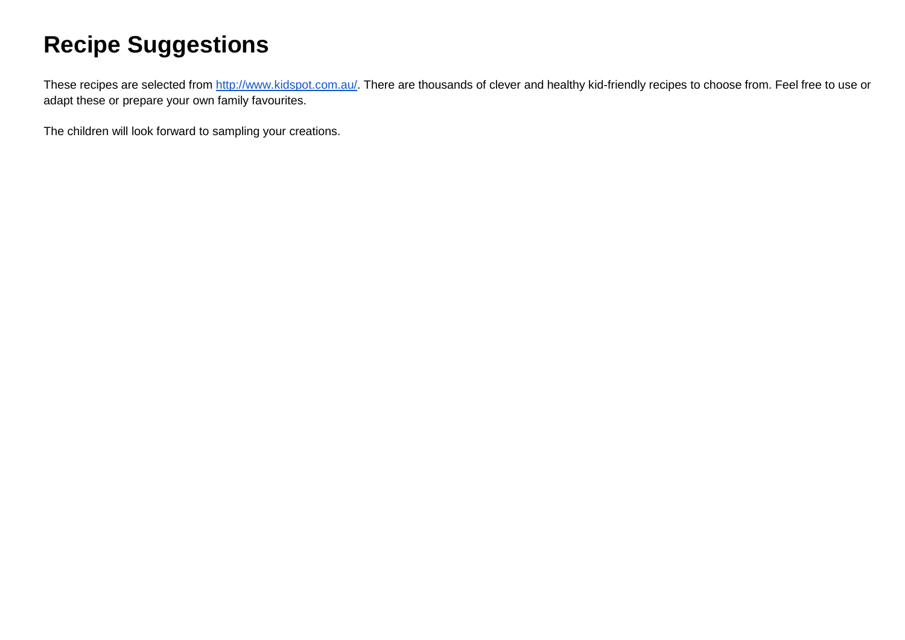# **Recipe Suggestions**

These recipes are selected from [http://www.kidspot.com.au/.](http://www.kidspot.com.au/) There are thousands of clever and healthy kid-friendly recipes to choose from. Feel free to use or adapt these or prepare your own family favourites.

The children will look forward to sampling your creations.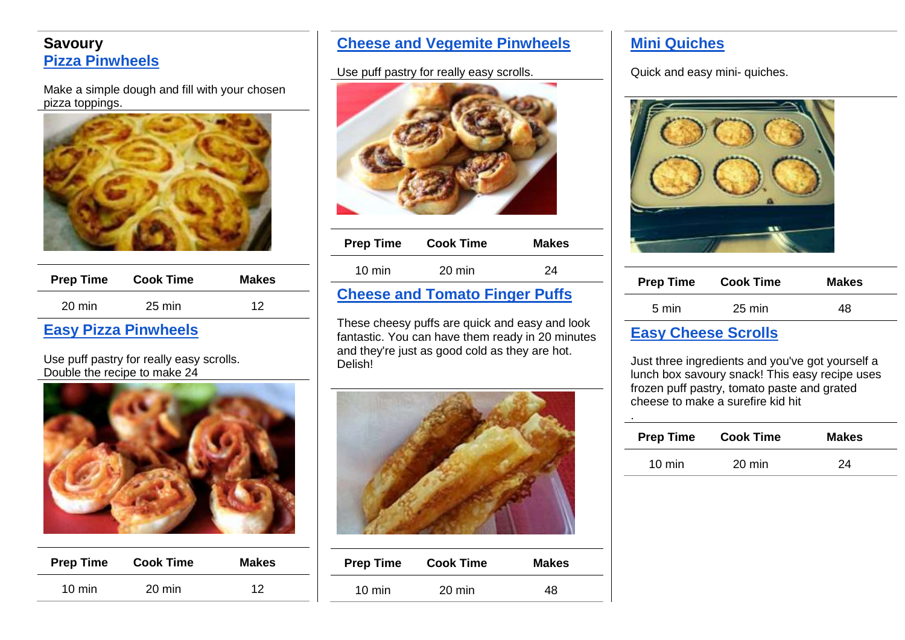# **Savoury [Pizza Pinwheels](http://www.kidspot.com.au/kitchen/recipes/pizza-pinwheels-463)**

Make a simple dough and fill with your chosen pizza toppings.



| <b>Prep Time</b> | <b>Cook Time</b> | <b>Makes</b> |
|------------------|------------------|--------------|
| $20 \text{ min}$ | 25 min           | 12           |

# **[Easy Pizza Pinwheels](http://www.kidspot.com.au/kitchen/recipes/lunch-box-pizza-pinwheels-3549)**

Use puff pastry for really easy scrolls. Double the recipe to make 24



| <b>Prep Time</b> | <b>Cook Time</b> | <b>Makes</b> |
|------------------|------------------|--------------|
| $10 \text{ min}$ | 20 min           | 12           |

#### **[Cheese and Vegemite Pinwheels](http://www.kidspot.com.au/kitchen/recipes/cheese-and-vegemite-pinwheels-2393)**

#### Use puff pastry for really easy scrolls.



| <b>Prep Time</b>                      | <b>Cook Time</b> | <b>Makes</b> |
|---------------------------------------|------------------|--------------|
| $10 \text{ min}$                      | $20 \text{ min}$ | 24           |
| <b>Cheese and Tomato Finger Puffs</b> |                  |              |

These cheesy puffs are quick and easy and look fantastic. You can have them ready in 20 minutes and they're just as good cold as they are hot. Delish!



| <b>Prep Time</b> | <b>Cook Time</b> | <b>Makes</b> |
|------------------|------------------|--------------|
| $10 \text{ min}$ | $20 \text{ min}$ | 48           |

# **[Mini Quiches](http://www.bestrecipes.com.au/recipe/Morgans-Mini-Quiches-L777.html)**

Quick and easy mini- quiches.



| <b>Prep Time</b>           | <b>Cook Time</b> | <b>Makes</b> |
|----------------------------|------------------|--------------|
| 5 min                      | 25 min           | 48           |
| <b>Egey Choose Scrolle</b> |                  |              |

#### **[Easy Cheese Scrolls](http://www.kidspot.com.au/kitchen/recipes/cheese-rolls-12)**

.

Just three ingredients and you've got yourself a lunch box savoury snack! This easy recipe uses frozen puff pastry, tomato paste and grated cheese to make a surefire kid hit

| <b>Prep Time</b> | <b>Cook Time</b> | <b>Makes</b> |
|------------------|------------------|--------------|
| $10 \text{ min}$ | $20 \text{ min}$ | 24           |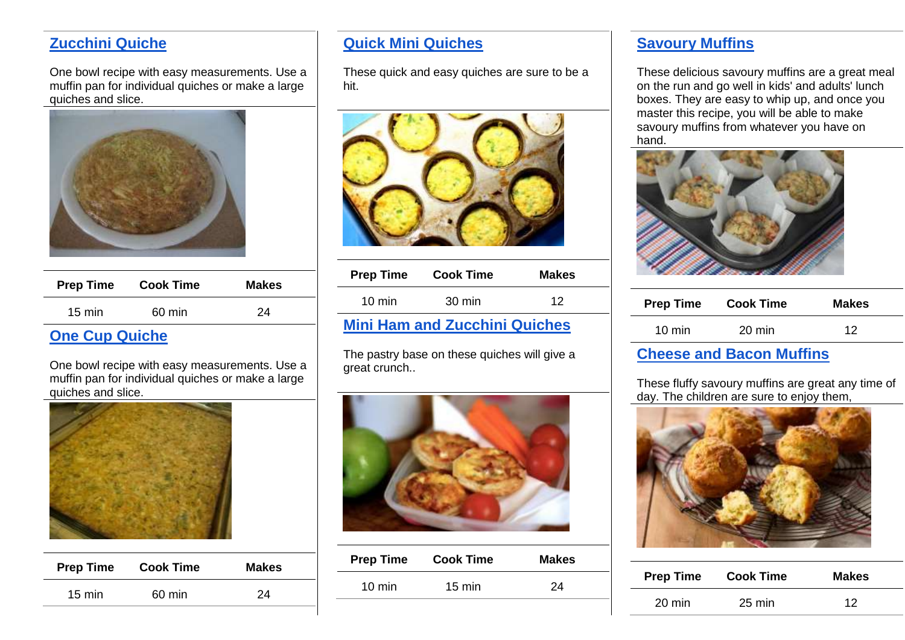# **[Zucchini Quiche](http://www.bestrecipes.com.au/recipe/Zucchini-Quiche-L1803.html)**

One bowl recipe with easy measurements. Use a muffin pan for individual quiches or make a large quiches and slice.



| <b>Prep Time</b> | <b>Cook Time</b> | <b>Makes</b> |
|------------------|------------------|--------------|
| $15 \text{ min}$ | 60 min           | 24           |

# **[One Cup Quiche](http://www.bestrecipes.com.au/recipe/One-Cup-Quiche-L2122.html)**

One bowl recipe with easy measurements. Use a muffin pan for individual quiches or make a large quiches and slice.



| <b>Prep Time</b> | <b>Cook Time</b> | <b>Makes</b> |
|------------------|------------------|--------------|
| $15 \text{ min}$ | 60 min           | 24           |

# **Quick Mini Quiches**

These quick and easy quiches are sure to be a hit.



| <b>Prep Time</b> | <b>Cook Time</b>                     | <b>Makes</b> |
|------------------|--------------------------------------|--------------|
| $10 \text{ min}$ | $30 \text{ min}$                     | 12           |
|                  | <b>Mini Ham and Zucchini Quiches</b> |              |

The pastry base on these quiches will give a great crunch..



| <b>Prep Time</b> | <b>Cook Time</b> | <b>Makes</b> |
|------------------|------------------|--------------|
| $10 \text{ min}$ | $15 \text{ min}$ | 24           |
|                  |                  |              |

# **[Savoury Muffins](http://www.kidspot.com.au/kitchen/recipes/savoury-muffins-1742)**

These delicious savoury muffins are a great meal on the run and go well in kids' and adults' lunch boxes. They are easy to whip up, and once you master this recipe, you will be able to make savoury muffins from whatever you have on hand.



| <b>Prep Time</b> | <b>Cook Time</b> | <b>Makes</b> |
|------------------|------------------|--------------|
| $10 \text{ min}$ | $20 \text{ min}$ | 12           |

#### **[Cheese and Bacon Muffins](http://www.kidspot.com.au/kitchen/recipes/cheese-and-bacon-muffins-4036)**

These fluffy savoury muffins are great any time of day. The children are sure to enjoy them,



| <b>Prep Time</b> | <b>Cook Time</b> | <b>Makes</b> |
|------------------|------------------|--------------|
| 20 min           | 25 min           | 12           |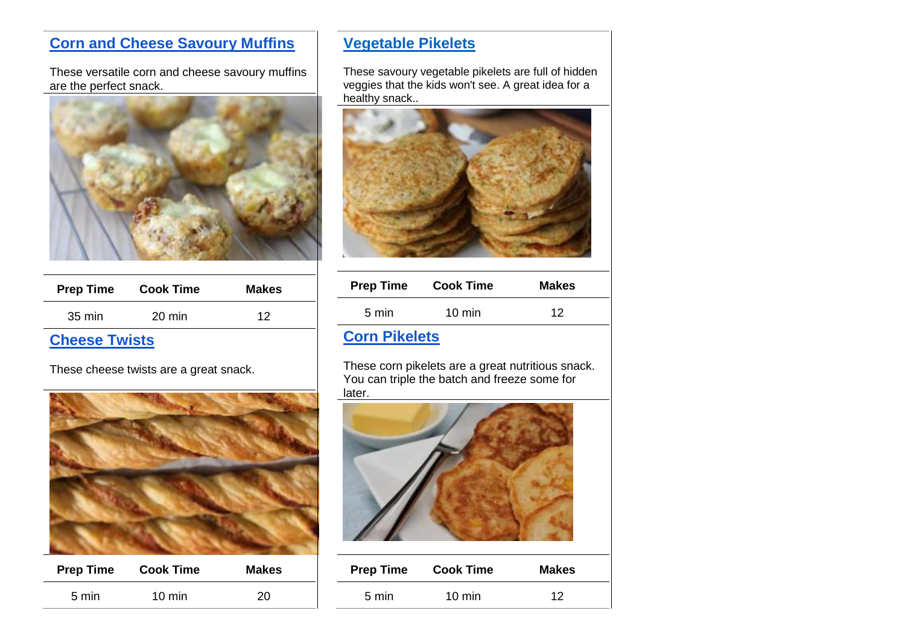# **[Corn and Cheese Savoury Muffins](http://www.kidspot.com.au/kitchen/recipes/corn-and-cheese-savoury-muffins-3642)**

These versatile corn and cheese savoury muffins are the perfect snack.



| <b>Prep Time</b>                | <b>Cook Time</b> | <b>Makes</b> |
|---------------------------------|------------------|--------------|
| 35 min                          | 20 min           | 12           |
| <b>All control of the state</b> |                  |              |

#### **Cheese Twists**

These cheese twists are a great snack.



| <b>Prep Time</b> | <b>Cook Time</b> | <b>Makes</b> |
|------------------|------------------|--------------|
| 5 min            | $10 \text{ min}$ | 20           |
|                  |                  |              |

# **[Vegetable Pikelets](http://www.kidspot.com.au/kitchen/recipes/vegetable-pikelets-2002)**

These savoury vegetable pikelets are full of hidden veggies that the kids won't see. A great idea for a healthy snack..



| <b>Prep Time</b> | <b>Cook Time</b> | <b>Makes</b> |
|------------------|------------------|--------------|
| 5 min            | $10 \text{ min}$ | 12           |

# **Corn Pikelets**

These corn pikelets are a great nutritious snack. You can triple the batch and freeze some for later.



| <b>Prep Time</b> | <b>Cook Time</b> | <b>Makes</b> |
|------------------|------------------|--------------|
| $5 \text{ min}$  | $10 \text{ min}$ | 12           |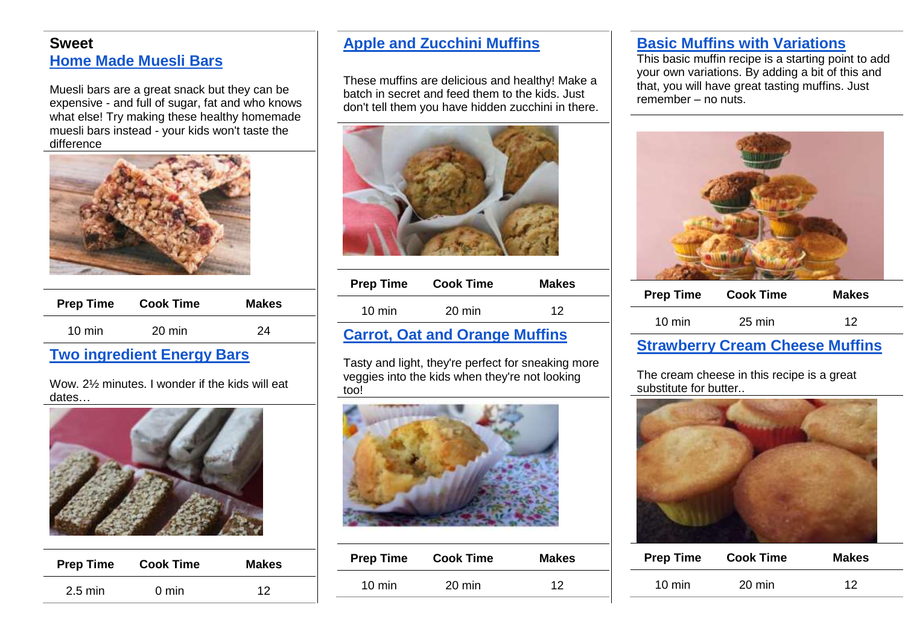#### **Sweet [Home Made Muesli Bars](http://www.kidspot.com.au/kitchen/recipes/homemade-muesli-bars-494?ref=page_view%2Crecipes)**

Muesli bars are a great snack but they can be expensive - and full of sugar, fat and who knows what else! Try making these healthy homemade muesli bars instead - your kids won't taste the difference



| <b>Prep Time</b> | <b>Cook Time</b> | <b>Makes</b> |
|------------------|------------------|--------------|
| $10 \text{ min}$ | 20 min           | 24           |

## **[Two ingredient Energy Bars](http://www.kidspot.com.au/kitchen/recipes/2-ingredient-energy-bars-3425?ref=page_view%2Crecipes)**

Wow. 2½ minutes. I wonder if the kids will eat dates…



|                                            | <b>Makes</b> | <b>Cook Time</b> | <b>Prep Time</b> |
|--------------------------------------------|--------------|------------------|------------------|
| $2.5 \text{ min}$<br>$0 \text{ min}$<br>12 |              |                  |                  |

## **[Apple and Zucchini Muffins](http://www.kidspot.com.au/kitchen/recipes/apple-and-zucchini-muffins-2192)**

These muffins are delicious and healthy! Make a batch in secret and feed them to the kids. Just don't tell them you have hidden zucchini in there.



| <b>Prep Time</b>              | <b>Cook Time</b> | <b>Makes</b> |
|-------------------------------|------------------|--------------|
| $10 \text{ min}$              | 20 min           | 12           |
| annat Aatland Anan oo Muffina |                  |              |

## **[Carrot, Oat and Orange Muffins](http://www.kidspot.com.au/kitchen/recipes/carrot-oat-and-orange-muffins-2789)**

Tasty and light, they're perfect for sneaking more veggies into the kids when they're not looking too!



| <b>Prep Time</b> | <b>Cook Time</b> | <b>Makes</b> |
|------------------|------------------|--------------|
| $10 \text{ min}$ | $20 \text{ min}$ | 12           |

## **[Basic Muffins with Variations](http://www.kidspot.com.au/kitchen/recipes/basic-muffins-with-variations-2048)**

This basic muffin recipe is a starting point to add your own variations. By adding a bit of this and that, you will have great tasting muffins. Just remember – no nuts.



| <b>Prep Time</b> | <b>Cook Time</b> | <b>Makes</b> |
|------------------|------------------|--------------|
| $10 \text{ min}$ | 25 min           | 12           |
|                  |                  |              |

#### **[Strawberry Cream Cheese Muffins](http://www.kidspot.com.au/kitchen/recipes/strawberry-and-cream-cheese-muffins-1508)**

The cream cheese in this recipe is a great substitute for butter..



| <b>Prep Time</b> | <b>Cook Time</b> | <b>Makes</b> |
|------------------|------------------|--------------|
| $10 \text{ min}$ | 20 min           | 12           |